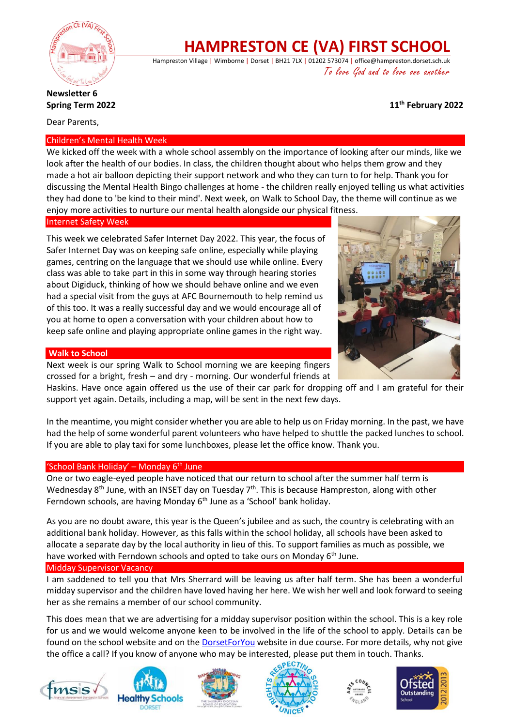

# **HAMPRESTON CE (VA) FIRST SCHOOL**

Hampreston Village | Wimborne | Dorset | BH21 7LX | 01202 573074 | office@hampreston.dorset.sch.uk To love God and to love one another

# **th February 2022**

# **Newsletter 6 Spring Term 2022**

Dear Parents,

## Children's Mental Health Week

We kicked off the week with a whole school assembly on the importance of looking after our minds, like we look after the health of our bodies. In class, the children thought about who helps them grow and they made a hot air balloon depicting their support network and who they can turn to for help. Thank you for discussing the Mental Health Bingo challenges at home - the children really enjoyed telling us what activities they had done to 'be kind to their mind'. Next week, on Walk to School Day, the theme will continue as we enjoy more activities to nurture our mental health alongside our physical fitness.

## Internet Safety Week

This week we celebrated Safer Internet Day 2022. This year, the focus of Safer Internet Day was on keeping safe online, especially while playing games, centring on the language that we should use while online. Every class was able to take part in this in some way through hearing stories about Digiduck, thinking of how we should behave online and we even had a special visit from the guys at AFC Bournemouth to help remind us of this too. It was a really successful day and we would encourage all of you at home to open a conversation with your children about how to keep safe online and playing appropriate online games in the right way.

## **Walk to School**

Next week is our spring Walk to School morning we are keeping fingers crossed for a bright, fresh – and dry - morning. Our wonderful friends at



Haskins. Have once again offered us the use of their car park for dropping off and I am grateful for their support yet again. Details, including a map, will be sent in the next few days.

In the meantime, you might consider whether you are able to help us on Friday morning. In the past, we have had the help of some wonderful parent volunteers who have helped to shuttle the packed lunches to school. If you are able to play taxi for some lunchboxes, please let the office know. Thank you.

## 'School Bank Holiday' – Monday  $6<sup>th</sup>$  June

One or two eagle-eyed people have noticed that our return to school after the summer half term is Wednesday 8<sup>th</sup> June, with an INSET day on Tuesday 7<sup>th</sup>. This is because Hampreston, along with other Ferndown schools, are having Monday 6<sup>th</sup> June as a 'School' bank holiday.

As you are no doubt aware, this year is the Queen's jubilee and as such, the country is celebrating with an additional bank holiday. However, as this falls within the school holiday, all schools have been asked to allocate a separate day by the local authority in lieu of this. To support families as much as possible, we have worked with Ferndown schools and opted to take ours on Monday 6<sup>th</sup> June.

## Midday Supervisor Vacancy

I am saddened to tell you that Mrs Sherrard will be leaving us after half term. She has been a wonderful midday supervisor and the children have loved having her here. We wish her well and look forward to seeing her as she remains a member of our school community.

This does mean that we are advertising for a midday supervisor position within the school. This is a key role for us and we would welcome anyone keen to be involved in the life of the school to apply. Details can be found on the school website and on the [DorsetForYou](https://jobs.dorsetforyou.gov.uk/school-support-staff-schools-midday-supervisor-fixed-term-hampreston-ce-va-first-school/33718.job) website in due course. For more details, why not give the office a call? If you know of anyone who may be interested, please put them in touch. Thanks.











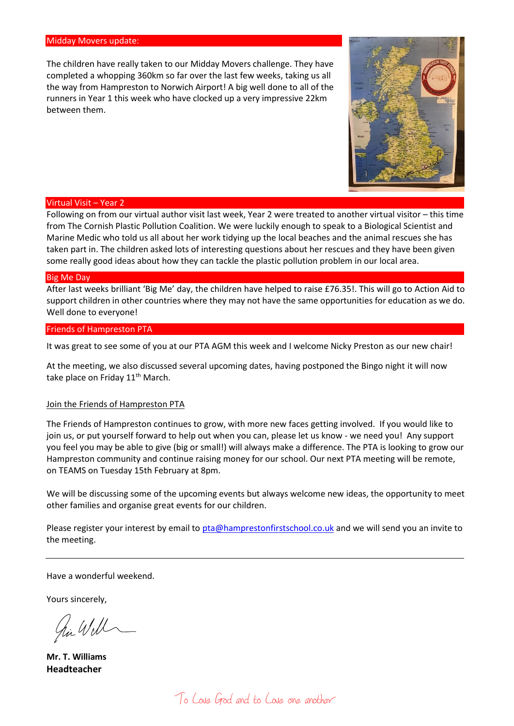#### Midday Movers update:

The children have really taken to our Midday Movers challenge. They have completed a whopping 360km so far over the last few weeks, taking us all the way from Hampreston to Norwich Airport! A big well done to all of the runners in Year 1 this week who have clocked up a very impressive 22km between them.



#### Virtual Visit – Year 2

Following on from our virtual author visit last week, Year 2 were treated to another virtual visitor – this time from The Cornish Plastic Pollution Coalition. We were luckily enough to speak to a Biological Scientist and Marine Medic who told us all about her work tidying up the local beaches and the animal rescues she has taken part in. The children asked lots of interesting questions about her rescues and they have been given some really good ideas about how they can tackle the plastic pollution problem in our local area.

#### Big Me Day

After last weeks brilliant 'Big Me' day, the children have helped to raise £76.35!. This will go to Action Aid to support children in other countries where they may not have the same opportunities for education as we do. Well done to everyone!

#### Friends of Hampreston PTA

It was great to see some of you at our PTA AGM this week and I welcome Nicky Preston as our new chair!

At the meeting, we also discussed several upcoming dates, having postponed the Bingo night it will now take place on Friday 11<sup>th</sup> March.

#### Join the Friends of Hampreston PTA

The Friends of Hampreston continues to grow, with more new faces getting involved. If you would like to join us, or put yourself forward to help out when you can, please let us know - we need you! Any support you feel you may be able to give (big or small!) will always make a difference. The PTA is looking to grow our Hampreston community and continue raising money for our school. Our next PTA meeting will be remote, on TEAMS on Tuesday 15th February at 8pm.

We will be discussing some of the upcoming events but always welcome new ideas, the opportunity to meet other families and organise great events for our children.

Please register your interest by email to [pta@hamprestonfirstschool.co.uk](mailto:pta@hamprestonfirstschool.co.uk) and we will send you an invite to the meeting.

Have a wonderful weekend.

Yours sincerely,

hi Will

**Mr. T. Williams Headteacher**

To Love God and to Love one another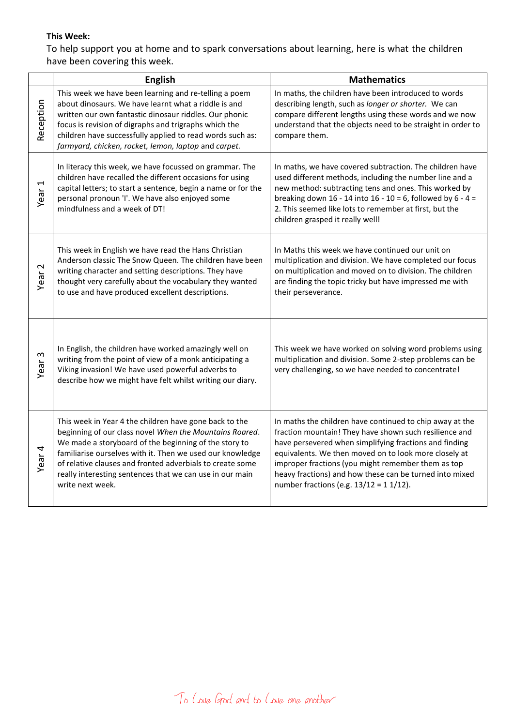# **This Week:**

To help support you at home and to spark conversations about learning, here is what the children have been covering this week.

|                   | English                                                                                                                                                                                                                                                                                                                                                                              | <b>Mathematics</b>                                                                                                                                                                                                                                                                                                                                                                                  |
|-------------------|--------------------------------------------------------------------------------------------------------------------------------------------------------------------------------------------------------------------------------------------------------------------------------------------------------------------------------------------------------------------------------------|-----------------------------------------------------------------------------------------------------------------------------------------------------------------------------------------------------------------------------------------------------------------------------------------------------------------------------------------------------------------------------------------------------|
| Reception         | This week we have been learning and re-telling a poem<br>about dinosaurs. We have learnt what a riddle is and<br>written our own fantastic dinosaur riddles. Our phonic<br>focus is revision of digraphs and trigraphs which the<br>children have successfully applied to read words such as:<br>farmyard, chicken, rocket, lemon, laptop and carpet.                                | In maths, the children have been introduced to words<br>describing length, such as longer or shorter. We can<br>compare different lengths using these words and we now<br>understand that the objects need to be straight in order to<br>compare them.                                                                                                                                              |
| Year <sub>1</sub> | In literacy this week, we have focussed on grammar. The<br>children have recalled the different occasions for using<br>capital letters; to start a sentence, begin a name or for the<br>personal pronoun 'I'. We have also enjoyed some<br>mindfulness and a week of DT!                                                                                                             | In maths, we have covered subtraction. The children have<br>used different methods, including the number line and a<br>new method: subtracting tens and ones. This worked by<br>breaking down 16 - 14 into 16 - 10 = 6, followed by $6 - 4 =$<br>2. This seemed like lots to remember at first, but the<br>children grasped it really well!                                                         |
| Year <sub>2</sub> | This week in English we have read the Hans Christian<br>Anderson classic The Snow Queen. The children have been<br>writing character and setting descriptions. They have<br>thought very carefully about the vocabulary they wanted<br>to use and have produced excellent descriptions.                                                                                              | In Maths this week we have continued our unit on<br>multiplication and division. We have completed our focus<br>on multiplication and moved on to division. The children<br>are finding the topic tricky but have impressed me with<br>their perseverance.                                                                                                                                          |
| S<br>Year         | In English, the children have worked amazingly well on<br>writing from the point of view of a monk anticipating a<br>Viking invasion! We have used powerful adverbs to<br>describe how we might have felt whilst writing our diary.                                                                                                                                                  | This week we have worked on solving word problems using<br>multiplication and division. Some 2-step problems can be<br>very challenging, so we have needed to concentrate!                                                                                                                                                                                                                          |
| Year <sub>4</sub> | This week in Year 4 the children have gone back to the<br>beginning of our class novel When the Mountains Roared.<br>We made a storyboard of the beginning of the story to<br>familiarise ourselves with it. Then we used our knowledge<br>of relative clauses and fronted adverbials to create some<br>really interesting sentences that we can use in our main<br>write next week. | In maths the children have continued to chip away at the<br>fraction mountain! They have shown such resilience and<br>have persevered when simplifying fractions and finding<br>equivalents. We then moved on to look more closely at<br>improper fractions (you might remember them as top<br>heavy fractions) and how these can be turned into mixed<br>number fractions (e.g. $13/12 = 11/12$ ). |